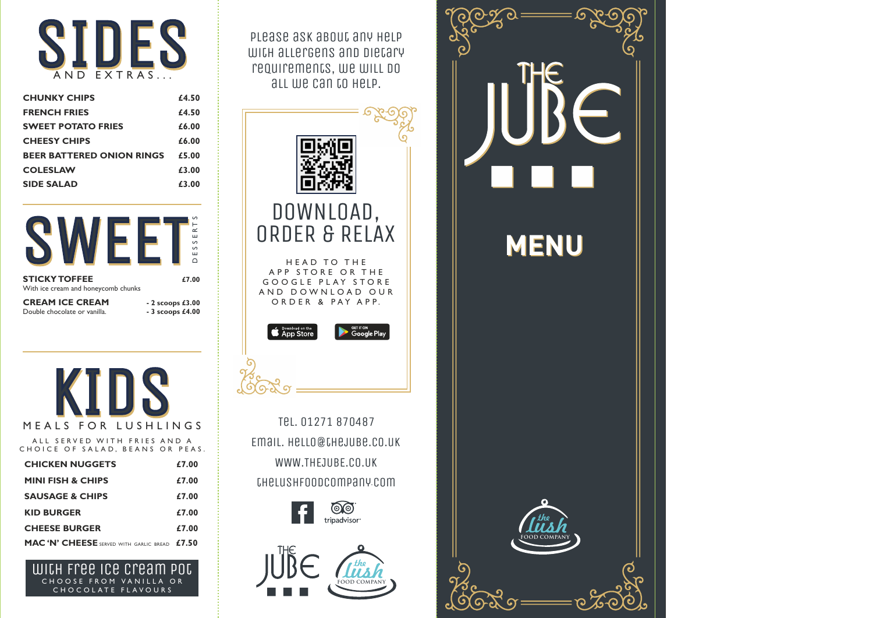**MENU**

with allergens and dietary requirements, we will do all we can to help.

| <b>CHICKEN NUGGETS</b>                         | £7.00 |
|------------------------------------------------|-------|
| <b>MINI FISH &amp; CHIPS</b>                   | £7.00 |
| <b>SAUSAGE &amp; CHIPS</b>                     | £7.00 |
| <b>KID BURGER</b>                              | £7.00 |
| <b>CHEESE BURGER</b>                           | £7.00 |
| <b>MAC 'N' CHEESE</b> SERVED WITH GARLIC BREAD | £7.50 |



### MEALS FOR LUSHLINGS

A LL SERVED WITH FRIES AND A CHOICE OF SALAD, BEANS OR PEAS.





CHOOSE FROM VANILLA OR CHOCOLATE FLAVOURS with free ice cream pot

| <b>CHUNKY CHIPS</b>              | £4.50 |
|----------------------------------|-------|
| <b>FRENCH FRIES</b>              | £4.50 |
| <b>SWEET POTATO FRIES</b>        | £6.00 |
| <b>CHEESY CHIPS</b>              | £6.00 |
| <b>BEER BATTERED ONION RINGS</b> | £5.00 |
| <b>COLESLAW</b>                  | £3.00 |
| <b>SIDE SALAD</b>                | £3.00 |









WWW.THEJUBE.CO.UK thelushfoodcompany.com Tel. 01271 870487 Email. hello@thejube.co.uk





HEAD TO THE A P P S T O R E O R T H E GOOGLE PLAY STORE AND DOWNLOAD OUR ORDER & PAY APP.